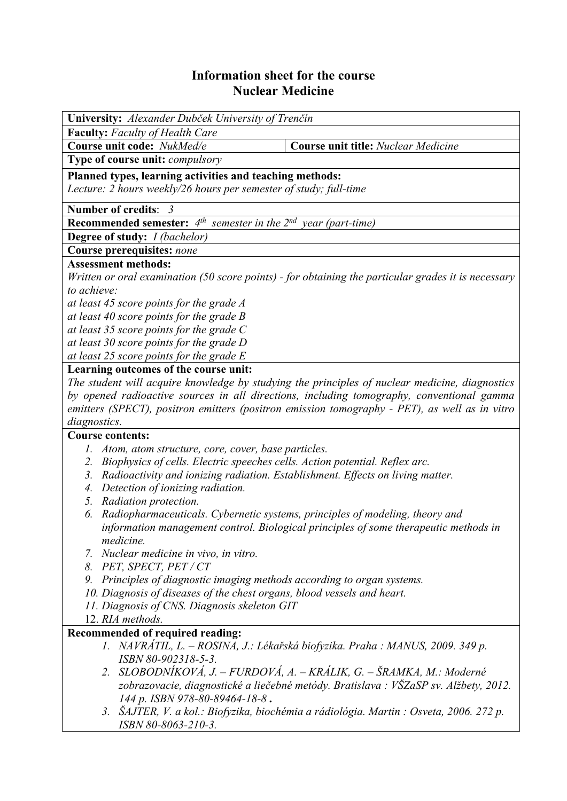## **Information sheet for the course Nuclear Medicine**

| University: Alexander Dubček University of Trenčín                                                  |                                                                                               |  |  |  |  |  |
|-----------------------------------------------------------------------------------------------------|-----------------------------------------------------------------------------------------------|--|--|--|--|--|
| <b>Faculty:</b> Faculty of Health Care                                                              |                                                                                               |  |  |  |  |  |
| Course unit code: NukMed/e                                                                          | <b>Course unit title: Nuclear Medicine</b>                                                    |  |  |  |  |  |
| Type of course unit: compulsory                                                                     |                                                                                               |  |  |  |  |  |
| Planned types, learning activities and teaching methods:                                            |                                                                                               |  |  |  |  |  |
| Lecture: 2 hours weekly/26 hours per semester of study; full-time                                   |                                                                                               |  |  |  |  |  |
| Number of credits: 3                                                                                |                                                                                               |  |  |  |  |  |
| <b>Recommended semester:</b> $4^{th}$ semester in the $2^{nd}$ year (part-time)                     |                                                                                               |  |  |  |  |  |
| <b>Degree of study:</b> <i>I (bachelor)</i>                                                         |                                                                                               |  |  |  |  |  |
| <b>Course prerequisites: none</b>                                                                   |                                                                                               |  |  |  |  |  |
| <b>Assessment methods:</b>                                                                          |                                                                                               |  |  |  |  |  |
| Written or oral examination (50 score points) - for obtaining the particular grades it is necessary |                                                                                               |  |  |  |  |  |
| to achieve:                                                                                         |                                                                                               |  |  |  |  |  |
| at least 45 score points for the grade A                                                            |                                                                                               |  |  |  |  |  |
| at least 40 score points for the grade $B$                                                          |                                                                                               |  |  |  |  |  |
| at least 35 score points for the grade $C$                                                          |                                                                                               |  |  |  |  |  |
| at least 30 score points for the grade D                                                            |                                                                                               |  |  |  |  |  |
| at least 25 score points for the grade E                                                            |                                                                                               |  |  |  |  |  |
| Learning outcomes of the course unit:                                                               |                                                                                               |  |  |  |  |  |
| The student will acquire knowledge by studying the principles of nuclear medicine, diagnostics      |                                                                                               |  |  |  |  |  |
| by opened radioactive sources in all directions, including tomography, conventional gamma           |                                                                                               |  |  |  |  |  |
|                                                                                                     | emitters (SPECT), positron emitters (positron emission tomography - PET), as well as in vitro |  |  |  |  |  |
| diagnostics.                                                                                        |                                                                                               |  |  |  |  |  |
| <b>Course contents:</b>                                                                             |                                                                                               |  |  |  |  |  |
| Atom, atom structure, core, cover, base particles.<br>Ι.                                            |                                                                                               |  |  |  |  |  |
| 2.                                                                                                  | Biophysics of cells. Electric speeches cells. Action potential. Reflex arc.                   |  |  |  |  |  |
| 3.<br>Radioactivity and ionizing radiation. Establishment. Effects on living matter.                |                                                                                               |  |  |  |  |  |
| Detection of ionizing radiation.<br>4.                                                              |                                                                                               |  |  |  |  |  |
| Radiation protection.<br>5.                                                                         |                                                                                               |  |  |  |  |  |
| Radiopharmaceuticals. Cybernetic systems, principles of modeling, theory and<br>6.                  |                                                                                               |  |  |  |  |  |
|                                                                                                     | information management control. Biological principles of some therapeutic methods in          |  |  |  |  |  |
| <i>medicine.</i>                                                                                    |                                                                                               |  |  |  |  |  |
| 7. Nuclear medicine in vivo, in vitro.                                                              |                                                                                               |  |  |  |  |  |
| 8. PET, SPECT, PET/CT                                                                               |                                                                                               |  |  |  |  |  |
| 9. Principles of diagnostic imaging methods according to organ systems.                             |                                                                                               |  |  |  |  |  |
| 10. Diagnosis of diseases of the chest organs, blood vessels and heart.                             |                                                                                               |  |  |  |  |  |
| 11. Diagnosis of CNS. Diagnosis skeleton GIT                                                        |                                                                                               |  |  |  |  |  |
| 12. RIA methods.                                                                                    |                                                                                               |  |  |  |  |  |
| Recommended of required reading:                                                                    |                                                                                               |  |  |  |  |  |
|                                                                                                     | 1. NAVRÁTIL, L. - ROSINA, J.: Lékařská biofyzika. Praha : MANUS, 2009. 349 p.                 |  |  |  |  |  |
| ISBN 80-902318-5-3.                                                                                 |                                                                                               |  |  |  |  |  |
|                                                                                                     | 2. SLOBODNÍKOVÁ, J. – FURDOVÁ, A. – KRÁLIK, G. – ŠRAMKA, M.: Moderné                          |  |  |  |  |  |
|                                                                                                     | zobrazovacie, diagnostické a liečebné metódy. Bratislava : VŠZaSP sv. Alžbety, 2012.          |  |  |  |  |  |
| 144 p. ISBN 978-80-89464-18-8.                                                                      |                                                                                               |  |  |  |  |  |
| ISBN 80-8063-210-3.                                                                                 | 3. SAJTER, V. a kol.: Biofyzika, biochémia a rádiológia. Martin : Osveta, 2006. 272 p.        |  |  |  |  |  |
|                                                                                                     |                                                                                               |  |  |  |  |  |